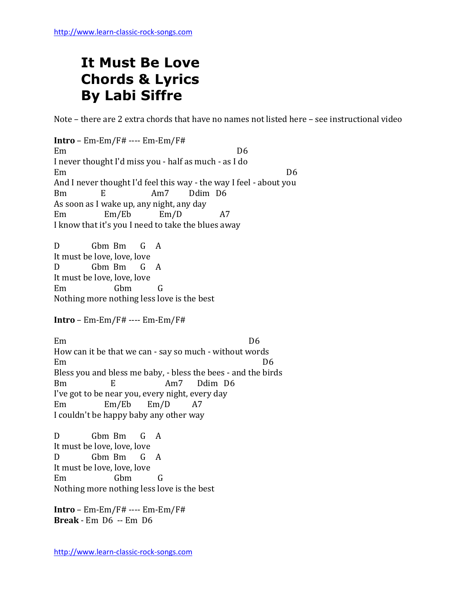## **It Must Be Love Chords & Lyrics By Labi Siffre**

Note – there are 2 extra chords that have no names not listed here – see instructional video

**Intro** – Em-Em/F# ---- Em-Em/F# Em D6 I never thought I'd miss you - half as much - as I do Em D6 And I never thought I'd feel this way - the way I feel - about you Bm E Am7 Ddim D6 As soon as I wake up, any night, any day Em Em/Eb Em/D A7 I know that it's you I need to take the blues away D Gbm Bm G A It must be love, love, love D Gbm Bm G A It must be love, love, love Em Gbm G Nothing more nothing less love is the best **Intro** – Em-Em/F# ---- Em-Em/F# Em D6 How can it be that we can - say so much - without words Em D6 Bless you and bless me baby, - bless the bees - and the birds Bm E Am7 Ddim D6 I've got to be near you, every night, every day Em Em/Eb Em/D A7 I couldn't be happy baby any other way D Gbm Bm G A It must be love, love, love D Gbm Bm G A It must be love, love, love Em Gbm G Nothing more nothing less love is the best

**Intro** – Em-Em/F# ---- Em-Em/F# **Break** - Em D6 -- Em D6